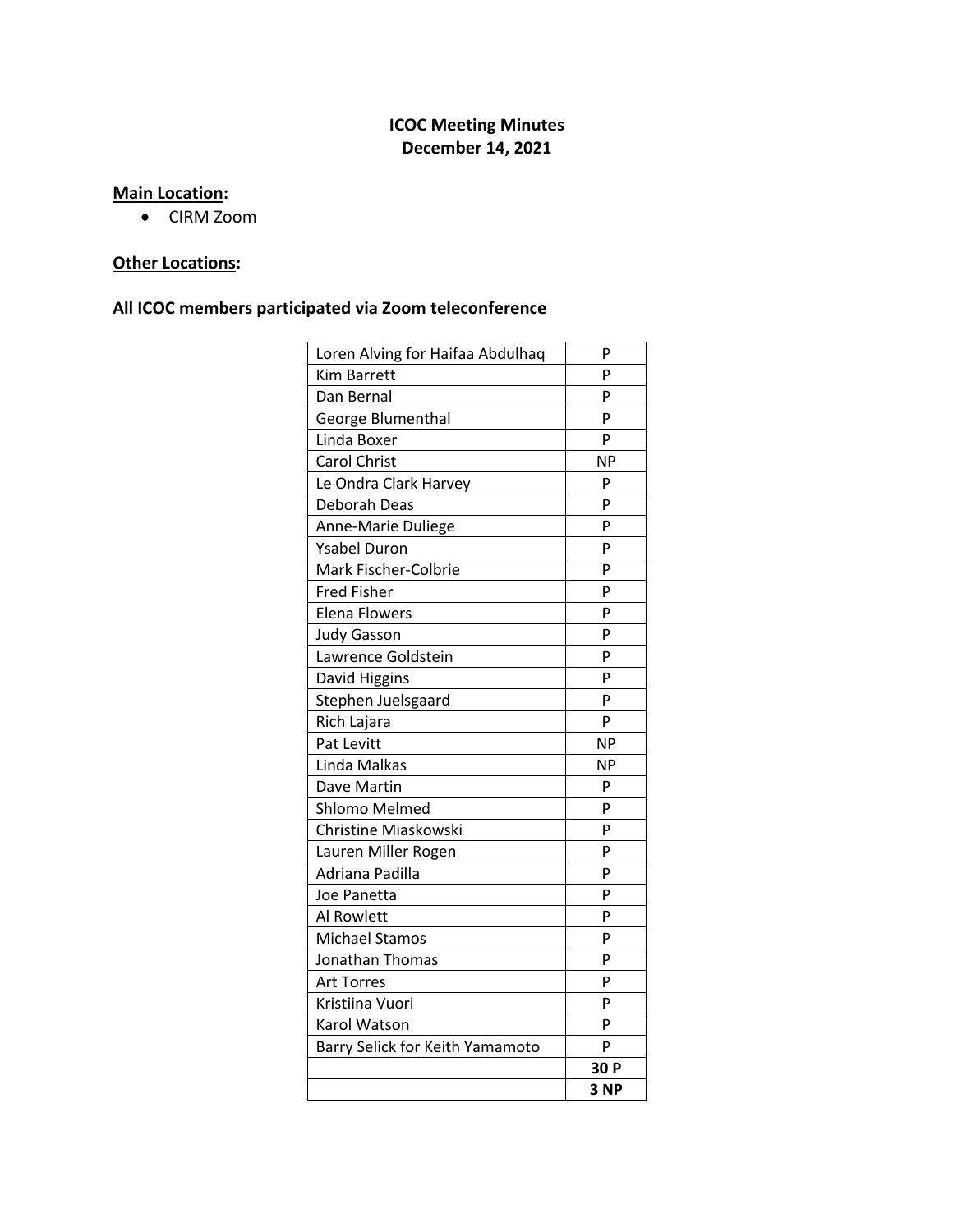# **ICOC Meeting Minutes December 14, 2021**

## **Main Location:**

• CIRM Zoom

# **Other Locations:**

## **All ICOC members participated via Zoom teleconference**

| Loren Alving for Haifaa Abdulhaq | P         |
|----------------------------------|-----------|
| Kim Barrett                      | P         |
| Dan Bernal                       | P         |
| George Blumenthal                | P         |
| Linda Boxer                      | P         |
| <b>Carol Christ</b>              | <b>NP</b> |
| Le Ondra Clark Harvey            | P         |
| Deborah Deas                     | P         |
| Anne-Marie Duliege               | P         |
| <b>Ysabel Duron</b>              | P         |
| Mark Fischer-Colbrie             | P         |
| <b>Fred Fisher</b>               | P         |
| <b>Elena Flowers</b>             | P         |
| <b>Judy Gasson</b>               | P         |
| Lawrence Goldstein               | P         |
| David Higgins                    | P         |
| Stephen Juelsgaard               | P         |
| Rich Lajara                      | P         |
| Pat Levitt                       | <b>NP</b> |
| Linda Malkas                     | <b>NP</b> |
| Dave Martin                      | P         |
| <b>Shlomo Melmed</b>             | P         |
| Christine Miaskowski             | P         |
| Lauren Miller Rogen              | P         |
| Adriana Padilla                  | P         |
| Joe Panetta                      | P         |
| <b>Al Rowlett</b>                | P         |
| <b>Michael Stamos</b>            | P         |
| Jonathan Thomas                  | P         |
| <b>Art Torres</b>                | P         |
| Kristiina Vuori                  | P         |
| Karol Watson                     | P         |
| Barry Selick for Keith Yamamoto  | P         |
|                                  | 30 P      |
|                                  | 3 NP      |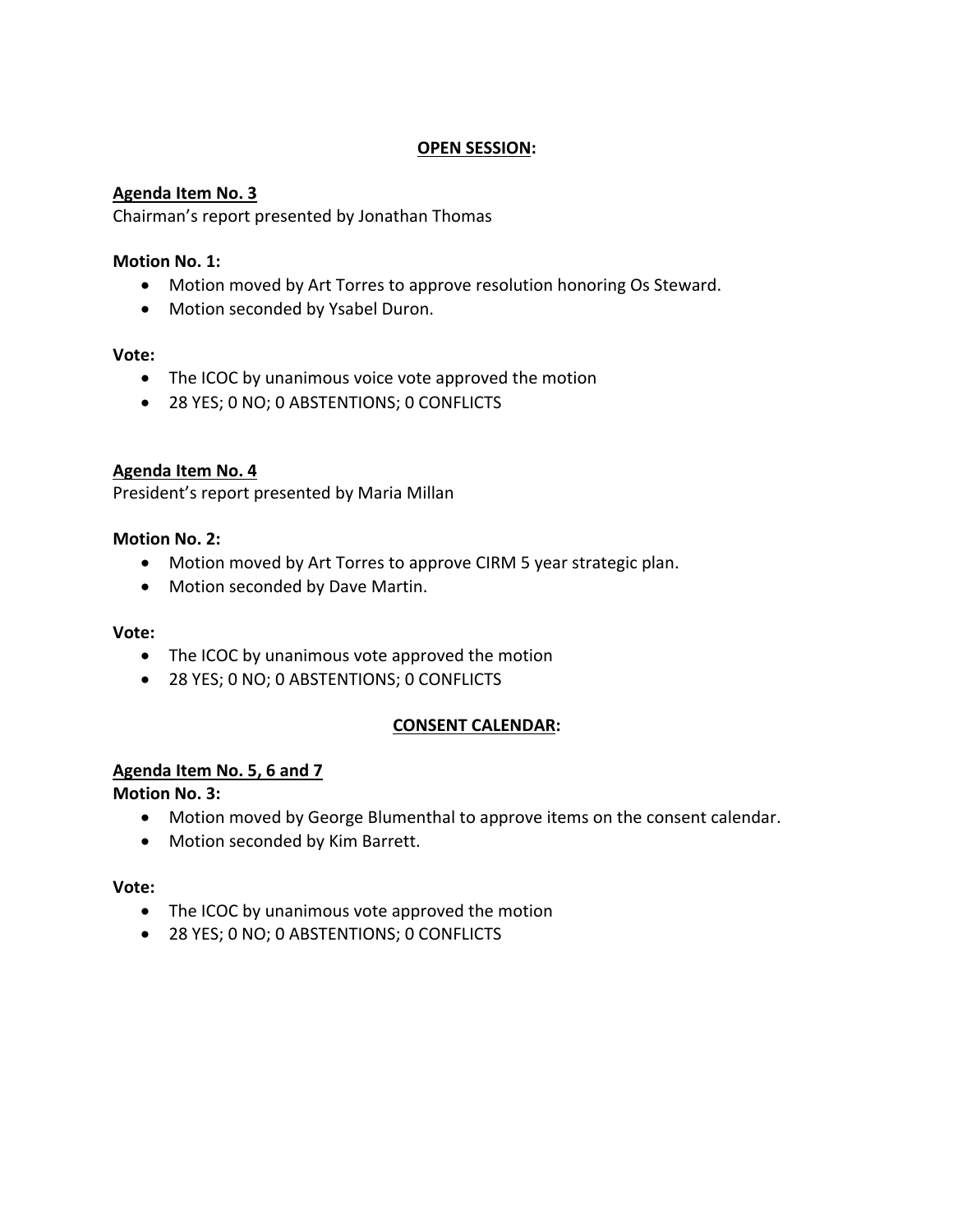### **OPEN SESSION:**

### **Agenda Item No. 3**

Chairman's report presented by Jonathan Thomas

### **Motion No. 1:**

- Motion moved by Art Torres to approve resolution honoring Os Steward.
- Motion seconded by Ysabel Duron.

#### **Vote:**

- The ICOC by unanimous voice vote approved the motion
- 28 YES; 0 NO; 0 ABSTENTIONS; 0 CONFLICTS

### **Agenda Item No. 4**

President's report presented by Maria Millan

### **Motion No. 2:**

- Motion moved by Art Torres to approve CIRM 5 year strategic plan.
- Motion seconded by Dave Martin.

#### **Vote:**

- The ICOC by unanimous vote approved the motion
- 28 YES; 0 NO; 0 ABSTENTIONS; 0 CONFLICTS

#### **CONSENT CALENDAR:**

### **Agenda Item No. 5, 6 and 7**

**Motion No. 3:**

- Motion moved by George Blumenthal to approve items on the consent calendar.
- Motion seconded by Kim Barrett.

#### **Vote:**

- The ICOC by unanimous vote approved the motion
- 28 YES; 0 NO; 0 ABSTENTIONS; 0 CONFLICTS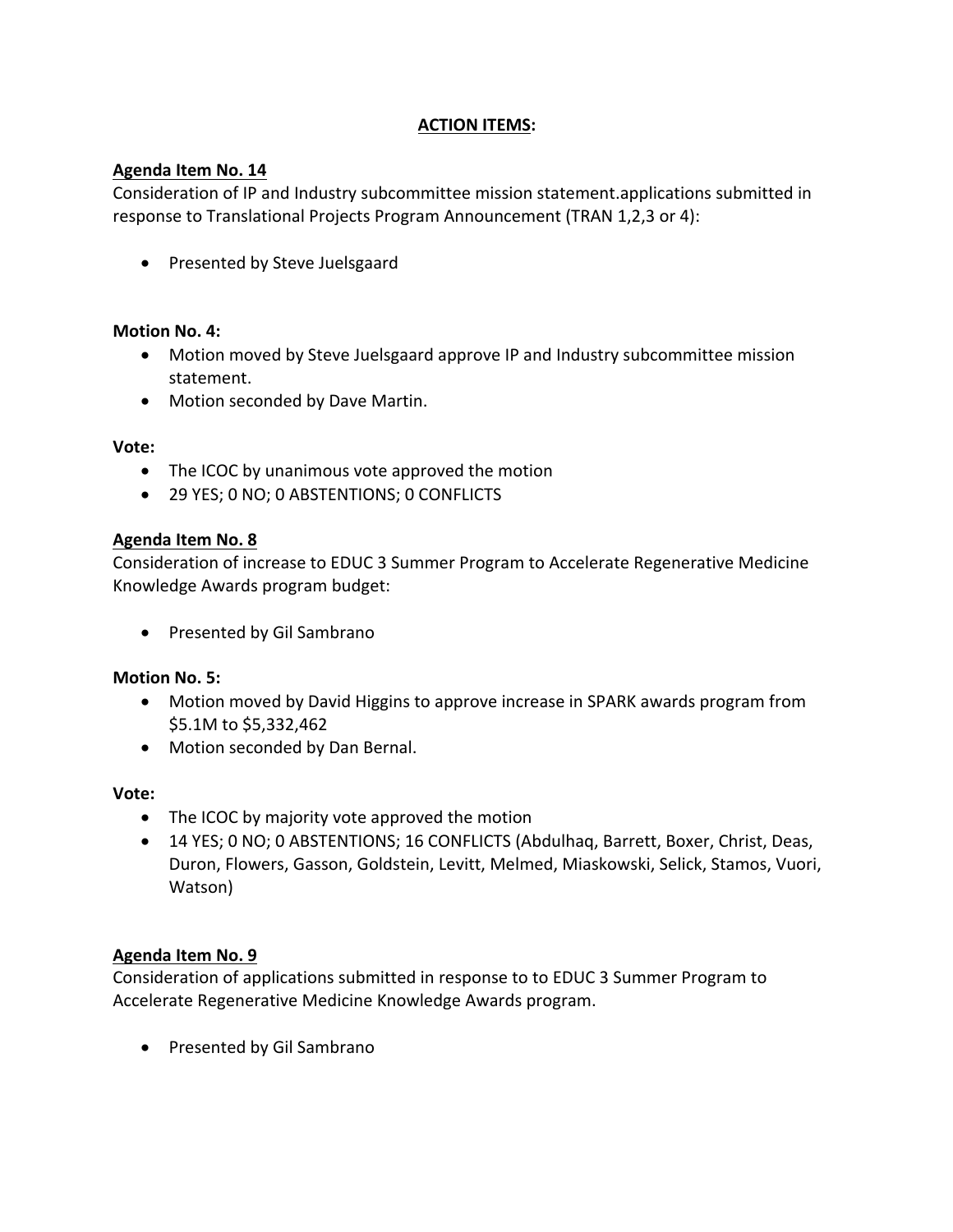# **ACTION ITEMS:**

## **Agenda Item No. 14**

Consideration of IP and Industry subcommittee mission statement.applications submitted in response to Translational Projects Program Announcement (TRAN 1,2,3 or 4):

• Presented by Steve Juelsgaard

### **Motion No. 4:**

- Motion moved by Steve Juelsgaard approve IP and Industry subcommittee mission statement.
- Motion seconded by Dave Martin.

### **Vote:**

- The ICOC by unanimous vote approved the motion
- 29 YES; 0 NO; 0 ABSTENTIONS; 0 CONFLICTS

### **Agenda Item No. 8**

Consideration of increase to EDUC 3 Summer Program to Accelerate Regenerative Medicine Knowledge Awards program budget:

• Presented by Gil Sambrano

### **Motion No. 5:**

- Motion moved by David Higgins to approve increase in SPARK awards program from \$5.1M to \$5,332,462
- Motion seconded by Dan Bernal.

#### **Vote:**

- The ICOC by majority vote approved the motion
- 14 YES; 0 NO; 0 ABSTENTIONS; 16 CONFLICTS (Abdulhaq, Barrett, Boxer, Christ, Deas, Duron, Flowers, Gasson, Goldstein, Levitt, Melmed, Miaskowski, Selick, Stamos, Vuori, Watson)

### **Agenda Item No. 9**

Consideration of applications submitted in response to to EDUC 3 Summer Program to Accelerate Regenerative Medicine Knowledge Awards program.

• Presented by Gil Sambrano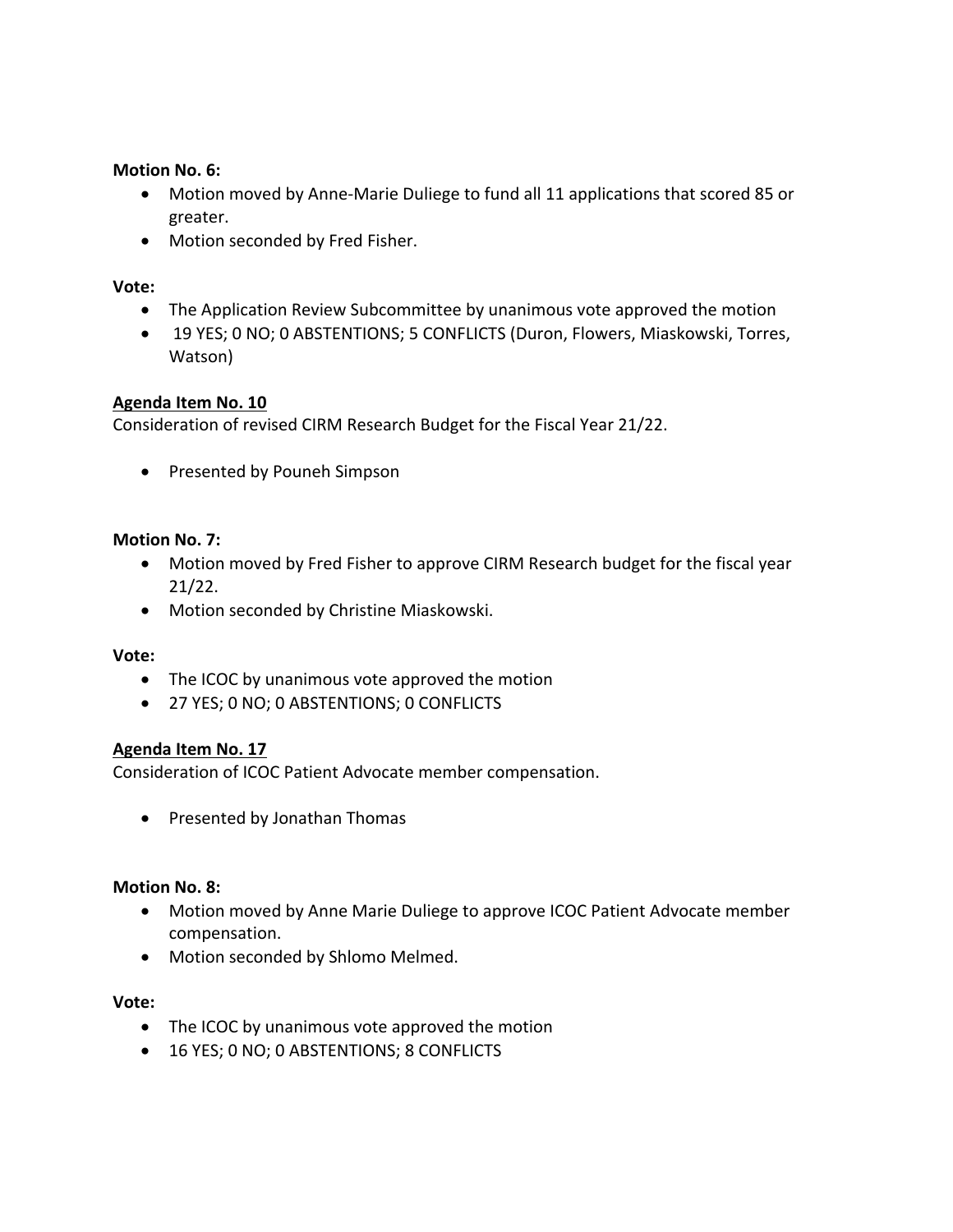### **Motion No. 6:**

- Motion moved by Anne-Marie Duliege to fund all 11 applications that scored 85 or greater.
- Motion seconded by Fred Fisher.

## **Vote:**

- The Application Review Subcommittee by unanimous vote approved the motion
- 19 YES; 0 NO; 0 ABSTENTIONS; 5 CONFLICTS (Duron, Flowers, Miaskowski, Torres, Watson)

## **Agenda Item No. 10**

Consideration of revised CIRM Research Budget for the Fiscal Year 21/22.

• Presented by Pouneh Simpson

### **Motion No. 7:**

- Motion moved by Fred Fisher to approve CIRM Research budget for the fiscal year 21/22.
- Motion seconded by Christine Miaskowski.

### **Vote:**

- The ICOC by unanimous vote approved the motion
- 27 YES; 0 NO; 0 ABSTENTIONS; 0 CONFLICTS

### **Agenda Item No. 17**

Consideration of ICOC Patient Advocate member compensation.

• Presented by Jonathan Thomas

### **Motion No. 8:**

- Motion moved by Anne Marie Duliege to approve ICOC Patient Advocate member compensation.
- Motion seconded by Shlomo Melmed.

### **Vote:**

- The ICOC by unanimous vote approved the motion
- 16 YES; 0 NO; 0 ABSTENTIONS; 8 CONFLICTS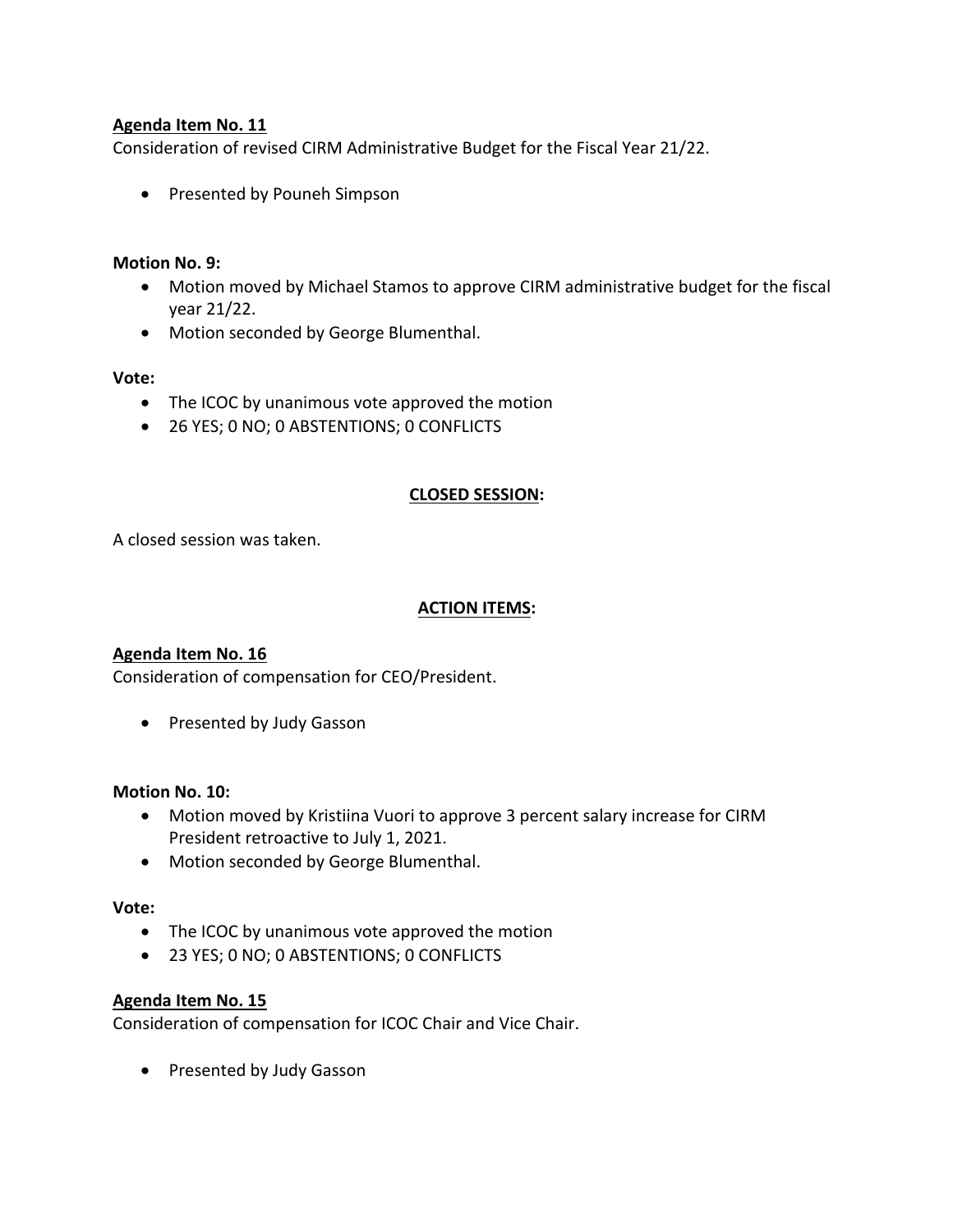## **Agenda Item No. 11**

Consideration of revised CIRM Administrative Budget for the Fiscal Year 21/22.

• Presented by Pouneh Simpson

### **Motion No. 9:**

- Motion moved by Michael Stamos to approve CIRM administrative budget for the fiscal year 21/22.
- Motion seconded by George Blumenthal.

### **Vote:**

- The ICOC by unanimous vote approved the motion
- 26 YES; 0 NO; 0 ABSTENTIONS; 0 CONFLICTS

### **CLOSED SESSION:**

A closed session was taken.

### **ACTION ITEMS:**

### **Agenda Item No. 16**

Consideration of compensation for CEO/President.

• Presented by Judy Gasson

#### **Motion No. 10:**

- Motion moved by Kristiina Vuori to approve 3 percent salary increase for CIRM President retroactive to July 1, 2021.
- Motion seconded by George Blumenthal.

#### **Vote:**

- The ICOC by unanimous vote approved the motion
- 23 YES; 0 NO; 0 ABSTENTIONS; 0 CONFLICTS

### **Agenda Item No. 15**

Consideration of compensation for ICOC Chair and Vice Chair.

• Presented by Judy Gasson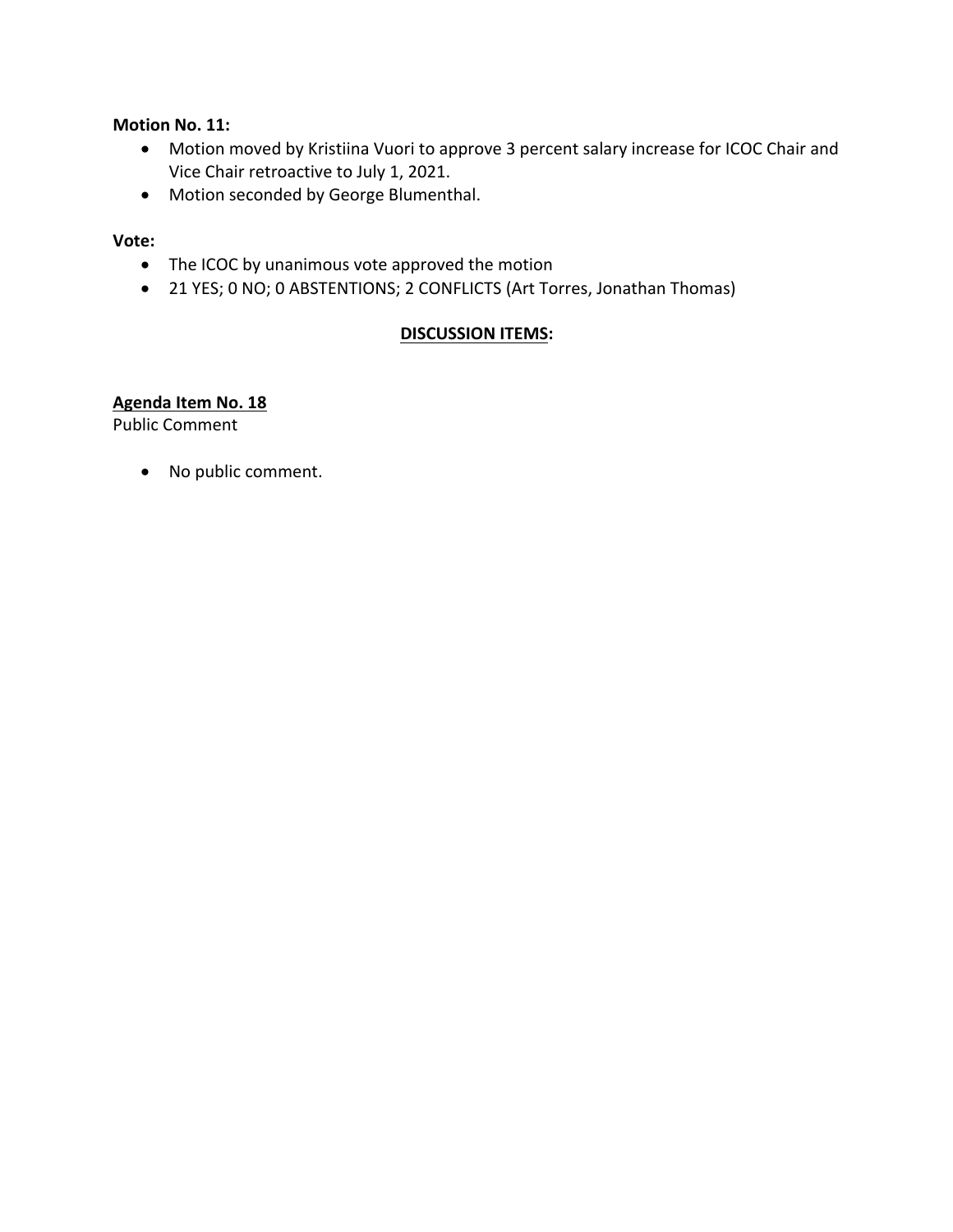**Motion No. 11:**

- Motion moved by Kristiina Vuori to approve 3 percent salary increase for ICOC Chair and Vice Chair retroactive to July 1, 2021.
- Motion seconded by George Blumenthal.

### **Vote:**

- The ICOC by unanimous vote approved the motion
- 21 YES; 0 NO; 0 ABSTENTIONS; 2 CONFLICTS (Art Torres, Jonathan Thomas)

## **DISCUSSION ITEMS:**

### **Agenda Item No. 18**

Public Comment

• No public comment.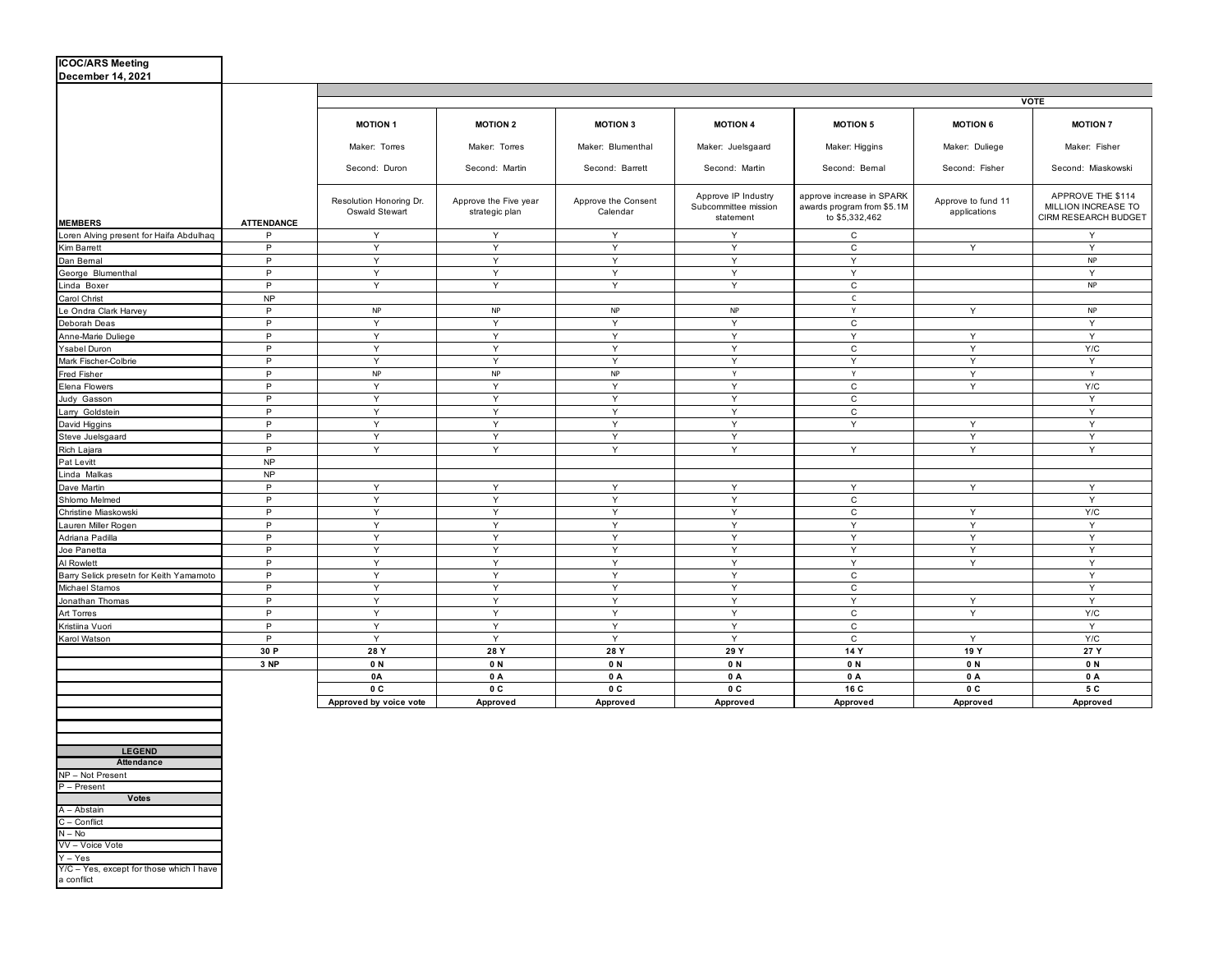| <b>ICOC/ARS Meeting</b>                 |                   |                                           |                                         |                                 |                                                          |                                                                           |                                    |                                                                  |
|-----------------------------------------|-------------------|-------------------------------------------|-----------------------------------------|---------------------------------|----------------------------------------------------------|---------------------------------------------------------------------------|------------------------------------|------------------------------------------------------------------|
| December 14, 2021                       |                   |                                           |                                         |                                 |                                                          |                                                                           |                                    |                                                                  |
|                                         |                   |                                           |                                         |                                 |                                                          |                                                                           |                                    |                                                                  |
|                                         |                   | <b>VOTE</b>                               |                                         |                                 |                                                          |                                                                           |                                    |                                                                  |
|                                         |                   | <b>MOTION 1</b>                           | <b>MOTION 2</b>                         | <b>MOTION 3</b>                 | <b>MOTION 4</b>                                          | <b>MOTION 5</b>                                                           | <b>MOTION 6</b>                    | <b>MOTION 7</b>                                                  |
|                                         |                   | Maker: Torres                             | Maker: Torres                           | Maker: Blumenthal               | Maker: Juelsgaard                                        | Maker: Higgins                                                            | Maker: Duliege                     | Maker: Fisher                                                    |
|                                         |                   | Second: Duron                             | Second: Martin                          | Second: Barrett                 | Second: Martin                                           | Second: Bemal                                                             | Second: Fisher                     | Second: Miaskowski                                               |
| <b>MEMBERS</b>                          | <b>ATTENDANCE</b> | Resolution Honoring Dr.<br>Oswald Stewart | Approve the Five year<br>strategic plan | Approve the Consent<br>Calendar | Approve IP Industry<br>Subcommittee mission<br>statement | approve increase in SPARK<br>awards program from \$5.1M<br>to \$5,332,462 | Approve to fund 11<br>applications | APPROVE THE \$114<br>MILLION INCREASE TO<br>CIRM RESEARCH BUDGET |
| Loren Alving present for Haifa Abdulhaq | P                 | Y                                         | Y                                       | Y                               | Y                                                        | $\mathsf{C}$                                                              |                                    | Y                                                                |
| Kim Barrett                             | P                 | Y                                         | Y                                       | Y                               | Y                                                        | $\mathsf{C}$                                                              | Y                                  | Y                                                                |
| Dan Bemal                               | P                 | Y                                         | Y                                       | Y                               | Y                                                        | Y                                                                         |                                    | <b>NP</b>                                                        |
| George Blumenthal                       | P                 | Y                                         | Y                                       | Y                               | Y                                                        | Y                                                                         |                                    | Y                                                                |
| Linda Boxer                             | P                 | Y                                         | Y                                       | Y                               | Y                                                        | $\mathtt{C}$                                                              |                                    | <b>NP</b>                                                        |
| Carol Christ                            | <b>NP</b>         |                                           |                                         |                                 |                                                          | $\mathsf{C}$                                                              |                                    |                                                                  |
| Le Ondra Clark Harvev                   | P                 | <b>NP</b>                                 | NP                                      | <b>NP</b>                       | NP                                                       | Y                                                                         | Y                                  | <b>NP</b>                                                        |
| Deborah Deas                            | P                 | Y                                         | Y                                       | Y                               | Y                                                        | $\mathtt{C}$                                                              |                                    | Y                                                                |
| Anne-Marie Duliege                      | P                 | Y                                         | Y                                       | Y                               | Y                                                        | $\mathsf Y$                                                               | Y                                  | Y                                                                |
| Ysabel Duron                            | P                 | Y                                         | Y                                       | Y                               | Y                                                        | $\mathsf{C}$                                                              | Y                                  | Y/C                                                              |
| Mark Fischer-Colbrie                    | P                 | Y                                         | Y                                       | Y                               | Y                                                        | Y                                                                         | Y                                  | Y                                                                |
| Fred Fisher                             | P                 | <b>NP</b>                                 | <b>NP</b>                               | <b>NP</b>                       | Y                                                        | Y                                                                         | Y                                  | Y                                                                |
| Elena Flowers                           | P                 | Y                                         | Y                                       | Y                               | Y                                                        | $\mathtt{C}$                                                              | Y                                  | Y/C                                                              |
| Judy Gasson                             | P                 | Y                                         | Y                                       | Y                               | Y                                                        | $\mathtt{C}$                                                              |                                    | Y                                                                |
| Larry Goldstein                         | P                 | Y                                         | Y                                       | Y                               | Y                                                        | $\mathtt{C}$                                                              |                                    | Y                                                                |
| David Higgins                           | P                 | Y                                         | Y                                       | Y                               | Y                                                        | Y                                                                         | Y                                  | Y                                                                |
| Steve Juelsgaard                        | P                 | Y                                         | Y                                       | Y                               | Y                                                        |                                                                           | Y                                  | Y                                                                |
| Rich Lajara                             | P                 | Y                                         | Y                                       | Y                               | Y                                                        | Y                                                                         | Y                                  | Y                                                                |
| Pat Levitt                              | <b>NP</b>         |                                           |                                         |                                 |                                                          |                                                                           |                                    |                                                                  |
| Linda Malkas                            | <b>NP</b>         |                                           |                                         |                                 |                                                          |                                                                           |                                    |                                                                  |
| Dave Martin                             | P                 | Y                                         | Y                                       | Y                               | Y                                                        | Y                                                                         | Y                                  | Y                                                                |
| Shlomo Melmed                           | P                 | Y                                         | Y                                       | Y                               | Y                                                        | $\mathsf{C}$                                                              |                                    | Y                                                                |
| Christine Miaskowski                    | P                 | Υ                                         | Y                                       | Y                               | Y                                                        | $\mathtt{C}$                                                              | Y                                  | Y/C                                                              |
| Lauren Miller Rogen                     | P                 | Y                                         | Y                                       | Y                               | Y                                                        | Y                                                                         | Y                                  | Y                                                                |
| Adriana Padilla                         | P                 | Y                                         | Y                                       | Y                               | Y                                                        | Y                                                                         | Y                                  | Y                                                                |
| Joe Panetta                             | P                 | Y                                         | Y                                       | Y                               | Y                                                        | Y                                                                         | Y                                  | Y                                                                |
| Al Rowlett                              | P.                | Y                                         | Y                                       | Y                               | Y                                                        | Y                                                                         | Y                                  | Y                                                                |
| Barry Selick presetn for Keith Yamamoto | P                 | Y                                         | Y                                       | Y                               | Y                                                        | $\mathtt{C}$                                                              |                                    | Y                                                                |
| Michael Stamos                          | P                 | Y                                         | Y                                       | Y                               | Y                                                        | $\mathtt{C}$                                                              |                                    | Y                                                                |
| Jonathan Thomas                         | P                 | Y                                         | Y                                       | Y                               | Y                                                        | Y                                                                         | Y                                  | Y                                                                |
| Art Torres                              | P                 | Y                                         | Y                                       | Y                               | Y                                                        | $\mathtt{C}$                                                              | Y                                  | Y/C                                                              |
| Kristiina Vuori                         | P                 | Υ                                         | Y                                       | Y                               | Y                                                        | $\mathtt{C}$                                                              |                                    | Y                                                                |
| Karol Watson                            | P                 | Y                                         | Y                                       | Y                               | Y                                                        | $\mathsf{C}$                                                              | Y                                  | Y/C                                                              |
|                                         | 30 P              | 28 Y                                      | 28 Y                                    | 28 Y                            | 29 Y                                                     | 14 Y                                                                      | 19 Y                               | 27 Y                                                             |
|                                         | 3 NP              | 0 N                                       | 0N                                      | 0 N                             | 0 N                                                      | 0N                                                                        | 0N                                 | 0 N                                                              |
|                                         |                   | <b>0A</b>                                 | 0 A                                     | 0 A                             | 0 A                                                      | 0 A                                                                       | 0A                                 | 0 A                                                              |
|                                         |                   | 0C                                        | 0C                                      | 0C                              | 0C                                                       | 16 C                                                                      | 0 C                                | 5 C                                                              |
|                                         |                   | Approved by voice vote                    | Approved                                | Approved                        | Approved                                                 | Approved                                                                  | Approved                           | Approved                                                         |

| <b>LEGEND</b>                                          |
|--------------------------------------------------------|
| <b>Attendance</b>                                      |
| NP - Not Present                                       |
| P - Present                                            |
| <b>Votes</b>                                           |
| A - Abstain                                            |
| C - Conflict                                           |
| $N - No$                                               |
| VV - Voice Vote                                        |
| $Y - Yes$                                              |
| Y/C - Yes, except for those which I have<br>a conflict |